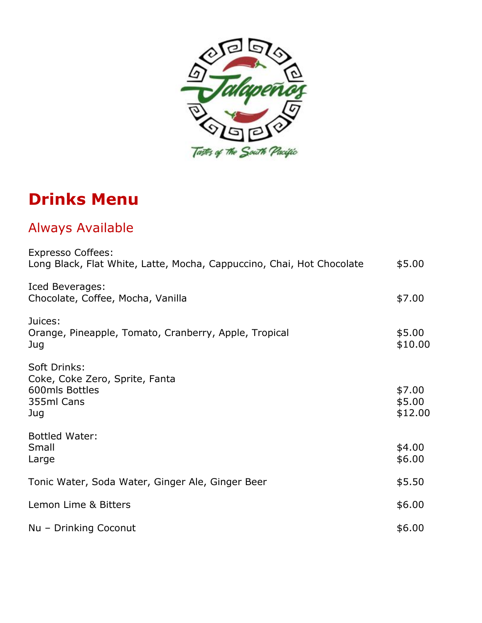

# **Drinks Menu**

# Always Available

| <b>Expresso Coffees:</b><br>Long Black, Flat White, Latte, Mocha, Cappuccino, Chai, Hot Chocolate | \$5.00                      |
|---------------------------------------------------------------------------------------------------|-----------------------------|
| Iced Beverages:<br>Chocolate, Coffee, Mocha, Vanilla                                              | \$7.00                      |
| Juices:<br>Orange, Pineapple, Tomato, Cranberry, Apple, Tropical<br>Juq                           | \$5.00<br>\$10.00           |
| Soft Drinks:<br>Coke, Coke Zero, Sprite, Fanta<br>600mls Bottles<br>355ml Cans<br>Jug             | \$7.00<br>\$5.00<br>\$12.00 |
| <b>Bottled Water:</b><br>Small<br>Large                                                           | \$4.00<br>\$6.00            |
| Tonic Water, Soda Water, Ginger Ale, Ginger Beer                                                  | \$5.50                      |
| Lemon Lime & Bitters                                                                              | \$6.00                      |
| Nu - Drinking Coconut                                                                             | \$6.00                      |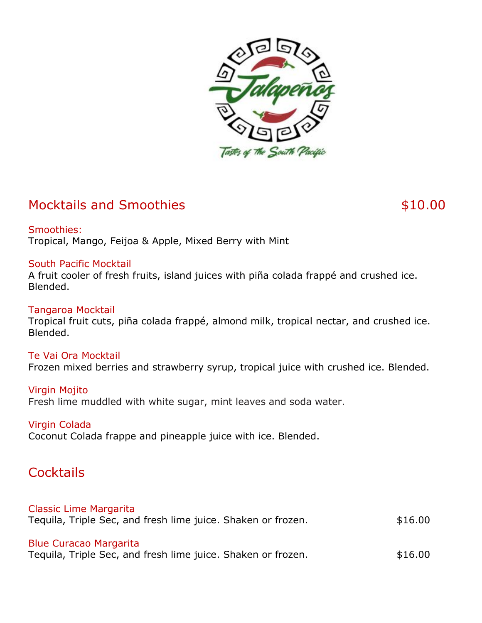

### Mocktails and Smoothies **\$10.00** \$10.00

Smoothies: Tropical, Mango, Feijoa & Apple, Mixed Berry with Mint

#### South Pacific Mocktail

A fruit cooler of fresh fruits, island juices with piña colada frappé and crushed ice. Blended.

#### Tangaroa Mocktail

Tropical fruit cuts, piña colada frappé, almond milk, tropical nectar, and crushed ice. Blended.

#### Te Vai Ora Mocktail

Frozen mixed berries and strawberry syrup, tropical juice with crushed ice. Blended.

#### Virgin Mojito

Fresh lime muddled with white sugar, mint leaves and soda water.

#### Virgin Colada

Coconut Colada frappe and pineapple juice with ice. Blended.

#### **Cocktails**

#### Classic Lime Margarita

Tequila, Triple Sec, and fresh lime juice. Shaken or frozen.  $$16.00$ 

#### Blue Curacao Margarita

Tequila, Triple Sec, and fresh lime juice. Shaken or frozen.  $$16.00$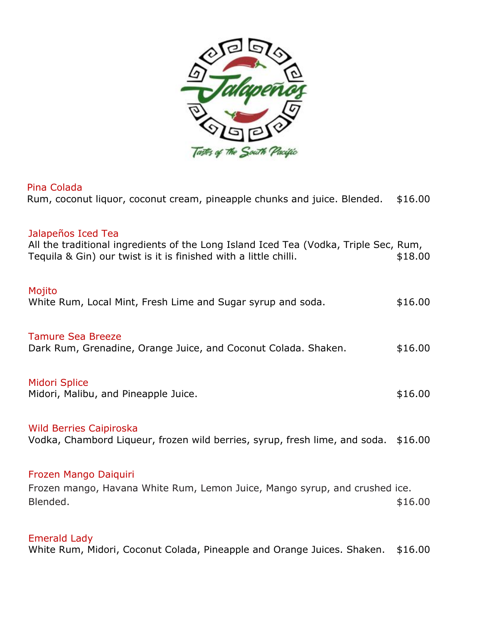

#### Pina Colada

| Pina Colada<br>Rum, coconut liquor, coconut cream, pineapple chunks and juice. Blended.                                                                                        | \$16.00 |
|--------------------------------------------------------------------------------------------------------------------------------------------------------------------------------|---------|
| Jalapeños Iced Tea<br>All the traditional ingredients of the Long Island Iced Tea (Vodka, Triple Sec, Rum,<br>Tequila & Gin) our twist is it is finished with a little chilli. | \$18.00 |
| Mojito<br>White Rum, Local Mint, Fresh Lime and Sugar syrup and soda.                                                                                                          | \$16.00 |
| <b>Tamure Sea Breeze</b><br>Dark Rum, Grenadine, Orange Juice, and Coconut Colada. Shaken.                                                                                     | \$16.00 |
| <b>Midori Splice</b><br>Midori, Malibu, and Pineapple Juice.                                                                                                                   | \$16.00 |
| <b>Wild Berries Caipiroska</b><br>Vodka, Chambord Liqueur, frozen wild berries, syrup, fresh lime, and soda. \$16.00                                                           |         |
| Frozen Mango Daiguiri<br>Frozen mango, Havana White Rum, Lemon Juice, Mango syrup, and crushed ice.<br>Blended.                                                                | \$16.00 |
| <b>Emerald Lady</b>                                                                                                                                                            |         |

White Rum, Midori, Coconut Colada, Pineapple and Orange Juices. Shaken. \$16.00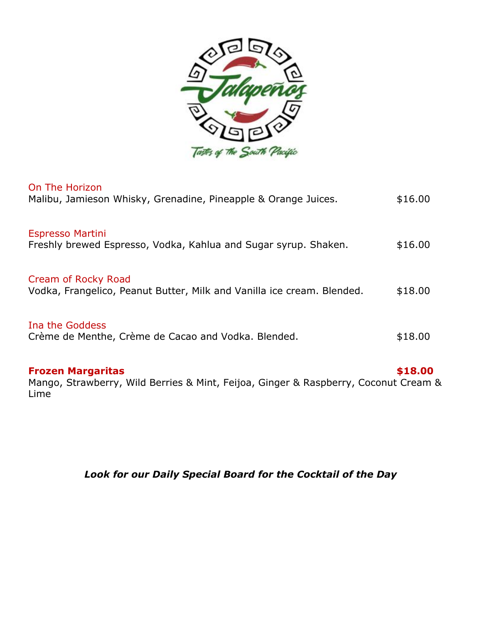

| <b>Frozen Margaritas</b><br>Mango, Strawberry, Wild Berries & Mint, Feijoa, Ginger & Raspberry, Coconut Cream | \$18.00 |
|---------------------------------------------------------------------------------------------------------------|---------|
| Ina the Goddess<br>Crème de Menthe, Crème de Cacao and Vodka. Blended.                                        | \$18.00 |
| Cream of Rocky Road<br>Vodka, Frangelico, Peanut Butter, Milk and Vanilla ice cream. Blended.                 | \$18.00 |
| <b>Espresso Martini</b><br>Freshly brewed Espresso, Vodka, Kahlua and Sugar syrup. Shaken.                    | \$16.00 |
| On The Horizon<br>Malibu, Jamieson Whisky, Grenadine, Pineapple & Orange Juices.                              | \$16.00 |

Mango, Strawberry, Wild Berries & Mint, Feijoa, Ginger & Raspberry, Coconut Cream & Lime

*Look for our Daily Special Board for the Cocktail of the Day*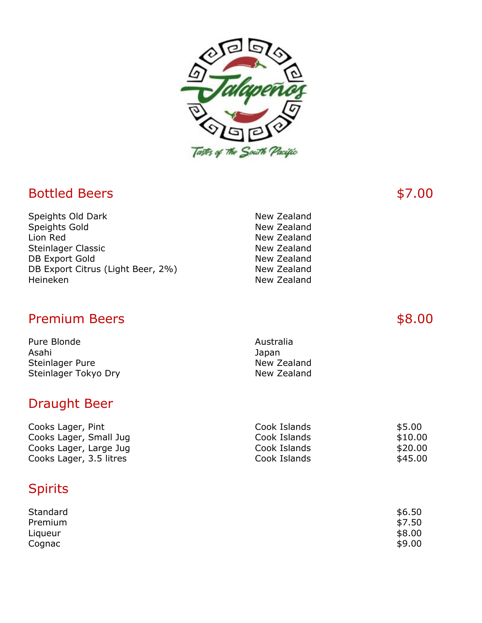

## Bottled Beers \$7.00

| Speights Old Dark                 | New Zealand |
|-----------------------------------|-------------|
| Speights Gold                     | New Zealand |
| Lion Red                          | New Zealand |
| Steinlager Classic                | New Zealand |
| <b>DB Export Gold</b>             | New Zealand |
| DB Export Citrus (Light Beer, 2%) | New Zealand |
| Heineken                          | New Zealand |

## Premium Beers **\$8.00**

| Pure Blonde          | Australia   |
|----------------------|-------------|
| Asahi                | Japan       |
| Steinlager Pure      | New Zealand |
| Steinlager Tokyo Dry | New Zealand |

## Draught Beer

| Cooks Lager, Pint       | Cook Islands | \$5.00  |
|-------------------------|--------------|---------|
| Cooks Lager, Small Jug  | Cook Islands | \$10.00 |
| Cooks Lager, Large Jug  | Cook Islands | \$20.00 |
| Cooks Lager, 3.5 litres | Cook Islands | \$45.00 |

# Spirits

| Standard | \$6.50 |
|----------|--------|
| Premium  | \$7.50 |
| Liqueur  | \$8.00 |
| Cognac   | \$9.00 |
|          |        |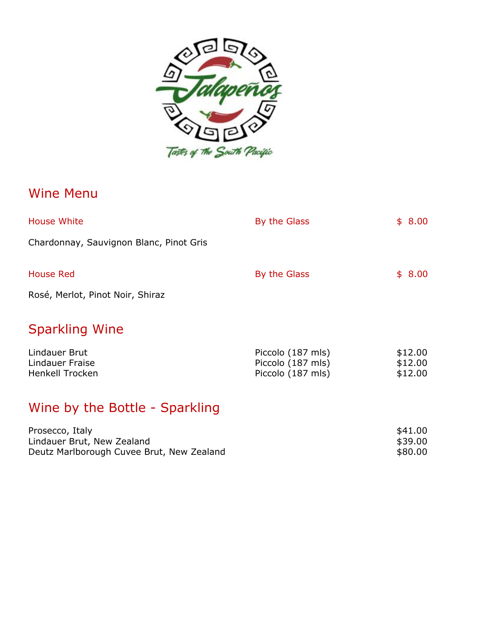

## Wine Menu

| <b>House White</b>                      | By the Glass | \$8.00 |
|-----------------------------------------|--------------|--------|
| Chardonnay, Sauvignon Blanc, Pinot Gris |              |        |
| <b>House Red</b>                        | By the Glass | \$8.00 |
| Rosé, Merlot, Pinot Noir, Shiraz        |              |        |
|                                         |              |        |

# Sparkling Wine

| Lindauer Brut   | Piccolo (187 mls) | \$12.00 |
|-----------------|-------------------|---------|
| Lindauer Fraise | Piccolo (187 mls) | \$12.00 |
| Henkell Trocken | Piccolo (187 mls) | \$12.00 |

# Wine by the Bottle - Sparkling

| Prosecco, Italy                           | \$41.00 |
|-------------------------------------------|---------|
| Lindauer Brut, New Zealand                | \$39.00 |
| Deutz Marlborough Cuvee Brut, New Zealand | \$80.00 |